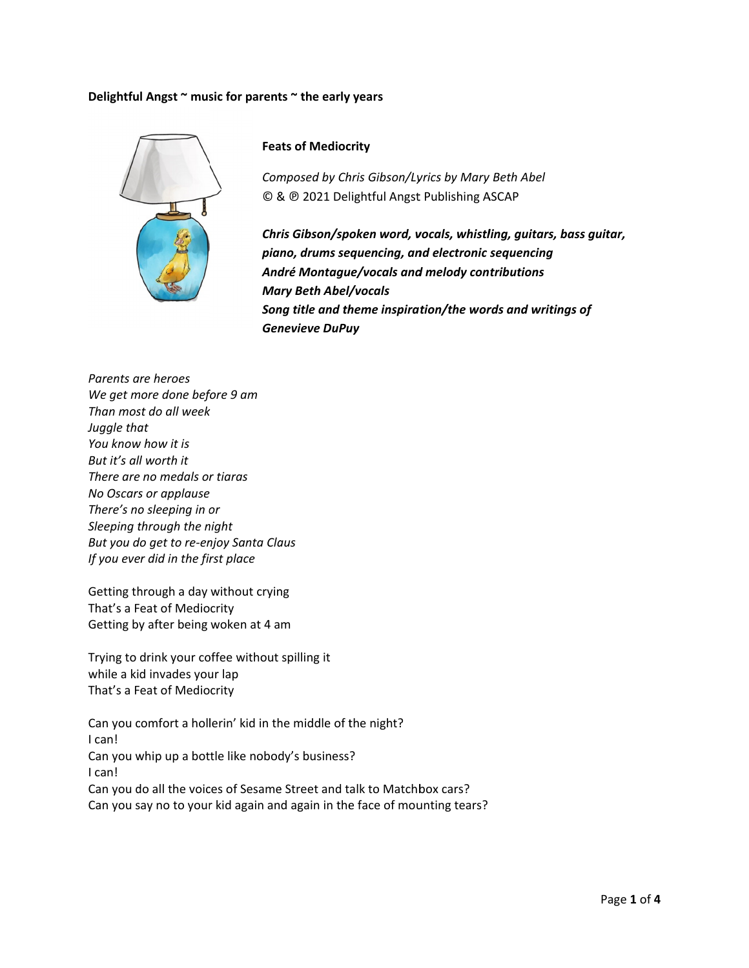## Delightful Angst ~ music for parents ~ the early years



## **Feats of Mediocrity**

Composed by Chris Gibson/Lyrics by Mary Beth Abel © & @ 2021 Delightful Angst Publishing ASCAP

Chris Gibson/spoken word, vocals, whistling, guitars, bass guitar, piano, drums sequencing, and electronic sequencing André Montague/vocals and melody contributions **Mary Beth Abel/vocals** Song title and theme inspiration/the words and writings of **Genevieve DuPuy** 

Parents are heroes We get more done before 9 am Than most do all week Juggle that You know how it is But it's all worth it There are no medals or tiaras No Oscars or applause There's no sleeping in or Sleeping through the night But you do get to re-enjoy Santa Claus If you ever did in the first place

Getting through a day without crying That's a Feat of Mediocrity Getting by after being woken at 4 am

Trying to drink your coffee without spilling it while a kid invades your lap That's a Feat of Mediocrity

Can you comfort a hollerin' kid in the middle of the night? I can! Can you whip up a bottle like nobody's business? I can! Can you do all the voices of Sesame Street and talk to Matchbox cars? Can you say no to your kid again and again in the face of mounting tears?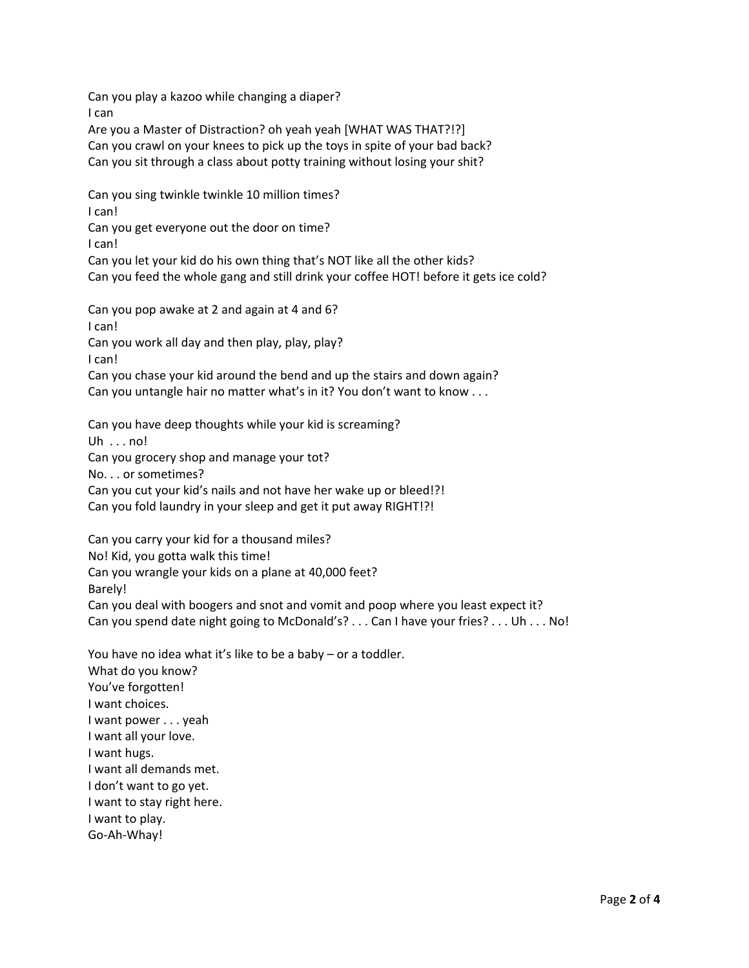Can you play a kazoo while changing a diaper? I can

Are you a Master of Distraction? oh yeah yeah [WHAT WAS THAT?!?] Can you crawl on your knees to pick up the toys in spite of your bad back? Can you sit through a class about potty training without losing your shit?

Can you sing twinkle twinkle 10 million times? I can!

Can you get everyone out the door on time?

I can!

Can you let your kid do his own thing that's NOT like all the other kids? Can you feed the whole gang and still drink your coffee HOT! before it gets ice cold?

Can you pop awake at 2 and again at 4 and 6? I can! Can you work all day and then play, play, play? I can! Can you chase your kid around the bend and up the stairs and down again?

Can you untangle hair no matter what's in it? You don't want to know . . .

Can you have deep thoughts while your kid is screaming? Uh  $\ldots$  no! Can you grocery shop and manage your tot? No. . . or sometimes? Can you cut your kid's nails and not have her wake up or bleed!?! Can you fold laundry in your sleep and get it put away RIGHT!?!

Can you carry your kid for a thousand miles? No! Kid, you gotta walk this time! Can you wrangle your kids on a plane at 40,000 feet? Barely! Can you deal with boogers and snot and vomit and poop where you least expect it? Can you spend date night going to McDonald's? . . . Can I have your fries? . . . Uh . . . No!

You have no idea what it's like to be a baby – or a toddler. What do you know? You've forgotten! I want choices. I want power . . . yeah I want all your love. I want hugs. I want all demands met. I don't want to go yet. I want to stay right here. I want to play. Go‐Ah‐Whay!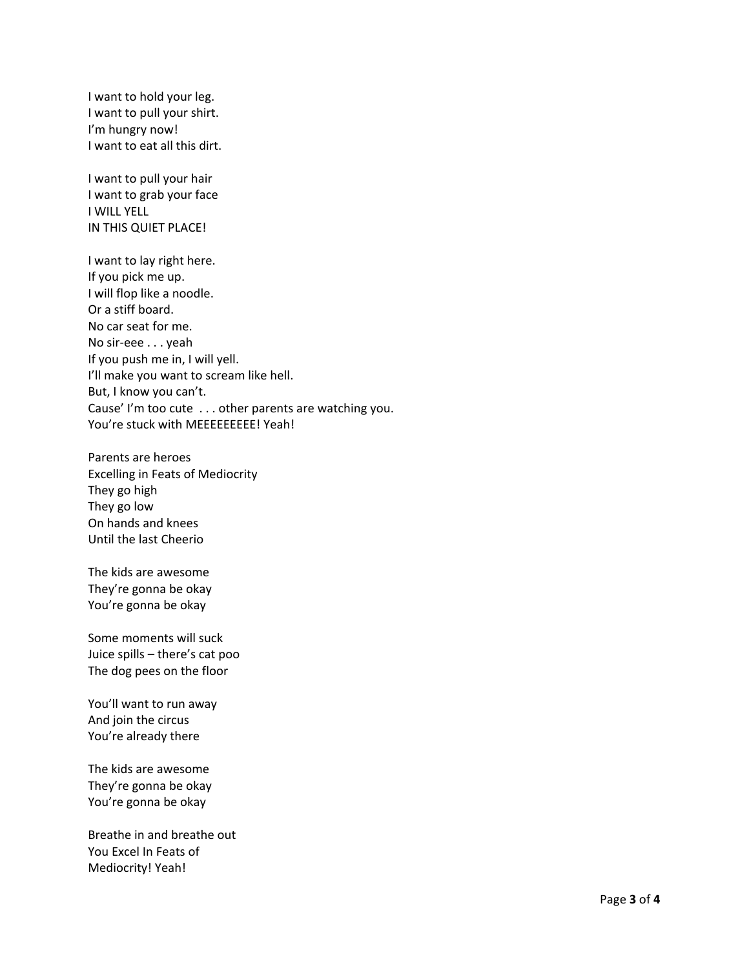I want to hold your leg. I want to pull your shirt. I'm hungry now! I want to eat all this dirt.

I want to pull your hair I want to grab your face I WILL YELL IN THIS QUIET PLACE!

I want to lay right here. If you pick me up. I will flop like a noodle. Or a stiff board. No car seat for me. No sir‐eee . . . yeah If you push me in, I will yell. I'll make you want to scream like hell. But, I know you can't. Cause' I'm too cute . . . other parents are watching you. You're stuck with MEEEEEEEEE! Yeah!

Parents are heroes Excelling in Feats of Mediocrity They go high They go low On hands and knees Until the last Cheerio

The kids are awesome They're gonna be okay You're gonna be okay

Some moments will suck Juice spills – there's cat poo The dog pees on the floor

You'll want to run away And join the circus You're already there

The kids are awesome They're gonna be okay You're gonna be okay

Breathe in and breathe out You Excel In Feats of Mediocrity! Yeah!